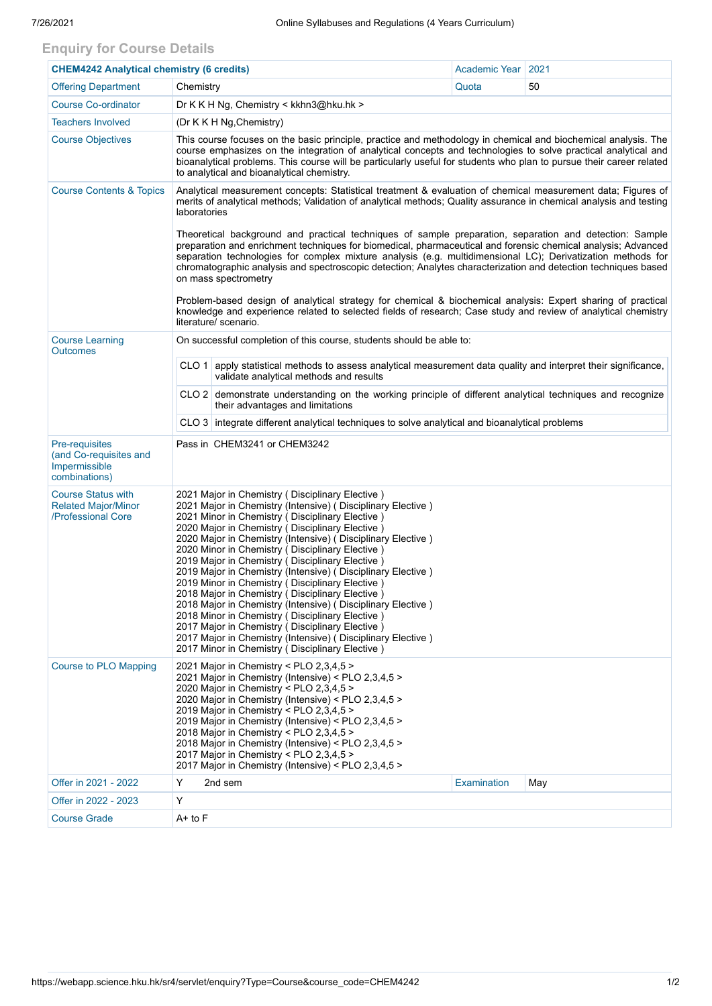## **Enquiry for Course Details**

| <b>CHEM4242 Analytical chemistry (6 credits)</b>                              |                                                                                                                                                                                                                                                                                                                                                                                                                                                                                                                                                                                                                                                                                                                                                                                                                                                                                                                                                                                                    | Academic Year | 2021 |  |  |  |  |
|-------------------------------------------------------------------------------|----------------------------------------------------------------------------------------------------------------------------------------------------------------------------------------------------------------------------------------------------------------------------------------------------------------------------------------------------------------------------------------------------------------------------------------------------------------------------------------------------------------------------------------------------------------------------------------------------------------------------------------------------------------------------------------------------------------------------------------------------------------------------------------------------------------------------------------------------------------------------------------------------------------------------------------------------------------------------------------------------|---------------|------|--|--|--|--|
| <b>Offering Department</b>                                                    | Chemistry                                                                                                                                                                                                                                                                                                                                                                                                                                                                                                                                                                                                                                                                                                                                                                                                                                                                                                                                                                                          | Quota         | 50   |  |  |  |  |
| <b>Course Co-ordinator</b>                                                    | Dr K K H Ng, Chemistry < kkhn3@hku.hk >                                                                                                                                                                                                                                                                                                                                                                                                                                                                                                                                                                                                                                                                                                                                                                                                                                                                                                                                                            |               |      |  |  |  |  |
| <b>Teachers Involved</b>                                                      | (Dr K K H Ng, Chemistry)                                                                                                                                                                                                                                                                                                                                                                                                                                                                                                                                                                                                                                                                                                                                                                                                                                                                                                                                                                           |               |      |  |  |  |  |
| <b>Course Objectives</b>                                                      | This course focuses on the basic principle, practice and methodology in chemical and biochemical analysis. The<br>course emphasizes on the integration of analytical concepts and technologies to solve practical analytical and<br>bioanalytical problems. This course will be particularly useful for students who plan to pursue their career related<br>to analytical and bioanalytical chemistry.                                                                                                                                                                                                                                                                                                                                                                                                                                                                                                                                                                                             |               |      |  |  |  |  |
| <b>Course Contents &amp; Topics</b>                                           | Analytical measurement concepts: Statistical treatment & evaluation of chemical measurement data; Figures of<br>merits of analytical methods; Validation of analytical methods; Quality assurance in chemical analysis and testing<br>laboratories<br>Theoretical background and practical techniques of sample preparation, separation and detection: Sample<br>preparation and enrichment techniques for biomedical, pharmaceutical and forensic chemical analysis; Advanced<br>separation technologies for complex mixture analysis (e.g. multidimensional LC); Derivatization methods for<br>chromatographic analysis and spectroscopic detection; Analytes characterization and detection techniques based<br>on mass spectrometry<br>Problem-based design of analytical strategy for chemical & biochemical analysis: Expert sharing of practical<br>knowledge and experience related to selected fields of research; Case study and review of analytical chemistry<br>literature/ scenario. |               |      |  |  |  |  |
| <b>Course Learning</b><br><b>Outcomes</b>                                     | On successful completion of this course, students should be able to:                                                                                                                                                                                                                                                                                                                                                                                                                                                                                                                                                                                                                                                                                                                                                                                                                                                                                                                               |               |      |  |  |  |  |
|                                                                               | CLO 1 apply statistical methods to assess analytical measurement data quality and interpret their significance,<br>validate analytical methods and results                                                                                                                                                                                                                                                                                                                                                                                                                                                                                                                                                                                                                                                                                                                                                                                                                                         |               |      |  |  |  |  |
|                                                                               | CLO 2 demonstrate understanding on the working principle of different analytical techniques and recognize<br>their advantages and limitations                                                                                                                                                                                                                                                                                                                                                                                                                                                                                                                                                                                                                                                                                                                                                                                                                                                      |               |      |  |  |  |  |
|                                                                               | CLO 3 integrate different analytical techniques to solve analytical and bioanalytical problems                                                                                                                                                                                                                                                                                                                                                                                                                                                                                                                                                                                                                                                                                                                                                                                                                                                                                                     |               |      |  |  |  |  |
| Pre-requisites<br>(and Co-requisites and<br>Impermissible<br>combinations)    | Pass in CHEM3241 or CHEM3242                                                                                                                                                                                                                                                                                                                                                                                                                                                                                                                                                                                                                                                                                                                                                                                                                                                                                                                                                                       |               |      |  |  |  |  |
| <b>Course Status with</b><br><b>Related Major/Minor</b><br>/Professional Core | 2021 Major in Chemistry (Disciplinary Elective)<br>2021 Major in Chemistry (Intensive) (Disciplinary Elective)<br>2021 Minor in Chemistry (Disciplinary Elective)<br>2020 Major in Chemistry ( Disciplinary Elective )<br>2020 Major in Chemistry (Intensive) (Disciplinary Elective)<br>2020 Minor in Chemistry ( Disciplinary Elective )<br>2019 Major in Chemistry ( Disciplinary Elective )<br>2019 Major in Chemistry (Intensive) (Disciplinary Elective)<br>2019 Minor in Chemistry (Disciplinary Elective)<br>2018 Major in Chemistry ( Disciplinary Elective )<br>2018 Major in Chemistry (Intensive) (Disciplinary Elective)<br>2018 Minor in Chemistry (Disciplinary Elective)<br>2017 Major in Chemistry (Disciplinary Elective)<br>2017 Major in Chemistry (Intensive) (Disciplinary Elective)<br>2017 Minor in Chemistry (Disciplinary Elective)                                                                                                                                      |               |      |  |  |  |  |
| Course to PLO Mapping                                                         | 2021 Major in Chemistry < PLO 2,3,4,5 ><br>2021 Major in Chemistry (Intensive) < PLO 2,3,4,5 ><br>2020 Major in Chemistry < PLO 2,3,4,5 ><br>2020 Major in Chemistry (Intensive) < PLO 2,3,4,5 ><br>2019 Major in Chemistry < PLO 2,3,4,5 ><br>2019 Major in Chemistry (Intensive) < PLO 2,3,4,5 ><br>2018 Major in Chemistry < PLO 2,3,4,5 ><br>2018 Major in Chemistry (Intensive) < PLO 2,3,4,5 ><br>2017 Major in Chemistry < PLO 2,3,4,5 ><br>2017 Major in Chemistry (Intensive) < PLO 2,3,4,5 >                                                                                                                                                                                                                                                                                                                                                                                                                                                                                             |               |      |  |  |  |  |
| Offer in 2021 - 2022                                                          | Y<br>2nd sem                                                                                                                                                                                                                                                                                                                                                                                                                                                                                                                                                                                                                                                                                                                                                                                                                                                                                                                                                                                       | Examination   | May  |  |  |  |  |
| Offer in 2022 - 2023                                                          | Y                                                                                                                                                                                                                                                                                                                                                                                                                                                                                                                                                                                                                                                                                                                                                                                                                                                                                                                                                                                                  |               |      |  |  |  |  |
| <b>Course Grade</b>                                                           | A+ to F                                                                                                                                                                                                                                                                                                                                                                                                                                                                                                                                                                                                                                                                                                                                                                                                                                                                                                                                                                                            |               |      |  |  |  |  |